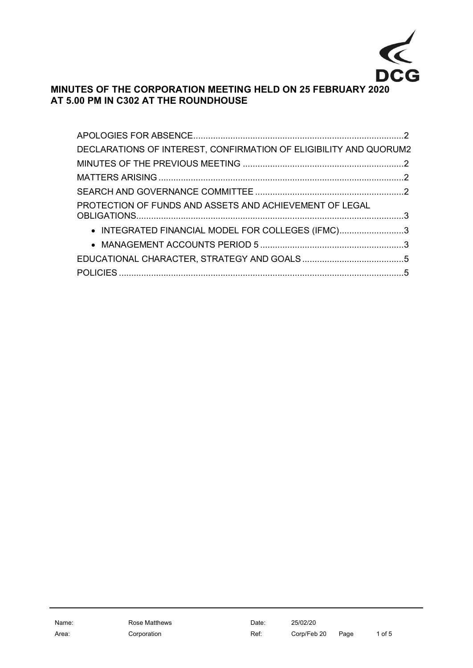

## **MINUTES OF THE CORPORATION MEETING HELD ON 25 FEBRUARY 2020 AT 5.00 PM IN C302 AT THE ROUNDHOUSE**

| DECLARATIONS OF INTEREST, CONFIRMATION OF ELIGIBILITY AND QUORUM2 |  |
|-------------------------------------------------------------------|--|
|                                                                   |  |
|                                                                   |  |
|                                                                   |  |
| PROTECTION OF FUNDS AND ASSETS AND ACHIEVEMENT OF LEGAL           |  |
| • INTEGRATED FINANCIAL MODEL FOR COLLEGES (IFMC)3                 |  |
|                                                                   |  |
|                                                                   |  |
|                                                                   |  |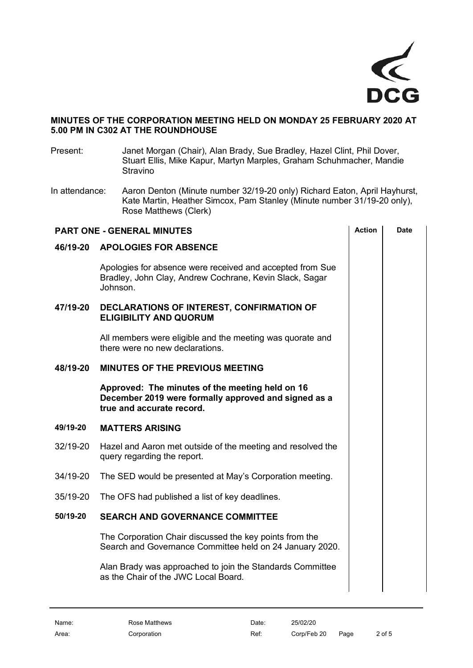

## **MINUTES OF THE CORPORATION MEETING HELD ON MONDAY 25 FEBRUARY 2020 AT 5.00 PM IN C302 AT THE ROUNDHOUSE**

- Present: Janet Morgan (Chair), Alan Brady, Sue Bradley, Hazel Clint, Phil Dover, Stuart Ellis, Mike Kapur, Martyn Marples, Graham Schuhmacher, Mandie Stravino
- In attendance: Aaron Denton (Minute number 32/19-20 only) Richard Eaton, April Hayhurst, Kate Martin, Heather Simcox, Pam Stanley (Minute number 31/19-20 only), Rose Matthews (Clerk)

<span id="page-1-4"></span><span id="page-1-3"></span><span id="page-1-2"></span><span id="page-1-1"></span><span id="page-1-0"></span>

| <b>PART ONE - GENERAL MINUTES</b> |                                                                                                                                      |  | <b>Date</b> |
|-----------------------------------|--------------------------------------------------------------------------------------------------------------------------------------|--|-------------|
| 46/19-20                          | <b>APOLOGIES FOR ABSENCE</b>                                                                                                         |  |             |
|                                   | Apologies for absence were received and accepted from Sue<br>Bradley, John Clay, Andrew Cochrane, Kevin Slack, Sagar<br>Johnson.     |  |             |
| 47/19-20                          | DECLARATIONS OF INTEREST, CONFIRMATION OF<br><b>ELIGIBILITY AND QUORUM</b>                                                           |  |             |
|                                   | All members were eligible and the meeting was quorate and<br>there were no new declarations.                                         |  |             |
| 48/19-20                          | <b>MINUTES OF THE PREVIOUS MEETING</b>                                                                                               |  |             |
|                                   | Approved: The minutes of the meeting held on 16<br>December 2019 were formally approved and signed as a<br>true and accurate record. |  |             |
| 49/19-20                          | <b>MATTERS ARISING</b>                                                                                                               |  |             |
| 32/19-20                          | Hazel and Aaron met outside of the meeting and resolved the<br>query regarding the report.                                           |  |             |
| 34/19-20                          | The SED would be presented at May's Corporation meeting.                                                                             |  |             |
| 35/19-20                          | The OFS had published a list of key deadlines.                                                                                       |  |             |
| 50/19-20                          | <b>SEARCH AND GOVERNANCE COMMITTEE</b>                                                                                               |  |             |
|                                   | The Corporation Chair discussed the key points from the<br>Search and Governance Committee held on 24 January 2020.                  |  |             |
|                                   | Alan Brady was approached to join the Standards Committee<br>as the Chair of the JWC Local Board.                                    |  |             |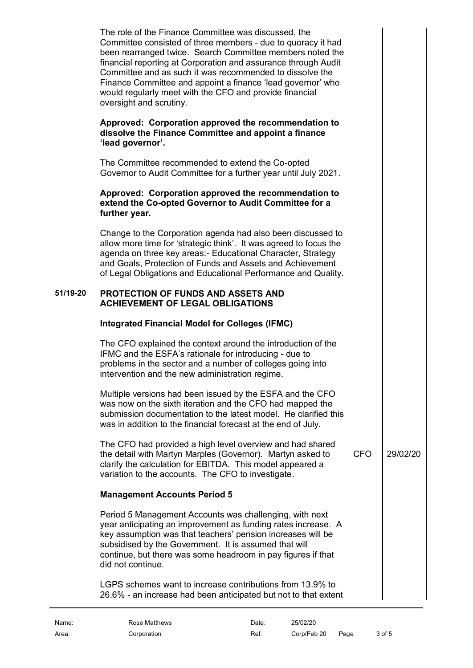<span id="page-2-0"></span>

|          | The role of the Finance Committee was discussed, the<br>Committee consisted of three members - due to quoracy it had<br>been rearranged twice. Search Committee members noted the<br>financial reporting at Corporation and assurance through Audit<br>Committee and as such it was recommended to dissolve the<br>Finance Committee and appoint a finance 'lead governor' who<br>would regularly meet with the CFO and provide financial<br>oversight and scrutiny. |            |          |
|----------|----------------------------------------------------------------------------------------------------------------------------------------------------------------------------------------------------------------------------------------------------------------------------------------------------------------------------------------------------------------------------------------------------------------------------------------------------------------------|------------|----------|
|          | Approved: Corporation approved the recommendation to<br>dissolve the Finance Committee and appoint a finance<br>'lead governor'.                                                                                                                                                                                                                                                                                                                                     |            |          |
|          | The Committee recommended to extend the Co-opted<br>Governor to Audit Committee for a further year until July 2021.                                                                                                                                                                                                                                                                                                                                                  |            |          |
|          | Approved: Corporation approved the recommendation to<br>extend the Co-opted Governor to Audit Committee for a<br>further year.                                                                                                                                                                                                                                                                                                                                       |            |          |
|          | Change to the Corporation agenda had also been discussed to<br>allow more time for 'strategic think'. It was agreed to focus the<br>agenda on three key areas:- Educational Character, Strategy<br>and Goals, Protection of Funds and Assets and Achievement<br>of Legal Obligations and Educational Performance and Quality.                                                                                                                                        |            |          |
| 51/19-20 | <b>PROTECTION OF FUNDS AND ASSETS AND</b><br><b>ACHIEVEMENT OF LEGAL OBLIGATIONS</b>                                                                                                                                                                                                                                                                                                                                                                                 |            |          |
|          | <b>Integrated Financial Model for Colleges (IFMC)</b>                                                                                                                                                                                                                                                                                                                                                                                                                |            |          |
|          | The CFO explained the context around the introduction of the<br>IFMC and the ESFA's rationale for introducing - due to<br>problems in the sector and a number of colleges going into<br>intervention and the new administration regime.                                                                                                                                                                                                                              |            |          |
|          | Multiple versions had been issued by the ESFA and the CFO<br>was now on the sixth iteration and the CFO had mapped the<br>submission documentation to the latest model. He clarified this<br>was in addition to the financial forecast at the end of July.                                                                                                                                                                                                           |            |          |
|          | The CFO had provided a high level overview and had shared<br>the detail with Martyn Marples (Governor). Martyn asked to<br>clarify the calculation for EBITDA. This model appeared a<br>variation to the accounts. The CFO to investigate.                                                                                                                                                                                                                           | <b>CFO</b> | 29/02/20 |
|          | <b>Management Accounts Period 5</b>                                                                                                                                                                                                                                                                                                                                                                                                                                  |            |          |
|          | Period 5 Management Accounts was challenging, with next<br>year anticipating an improvement as funding rates increase. A<br>key assumption was that teachers' pension increases will be                                                                                                                                                                                                                                                                              |            |          |
|          | subsidised by the Government. It is assumed that will<br>continue, but there was some headroom in pay figures if that<br>did not continue.                                                                                                                                                                                                                                                                                                                           |            |          |

<span id="page-2-2"></span><span id="page-2-1"></span>Name: Rose Matthews **Date:** 25/02/20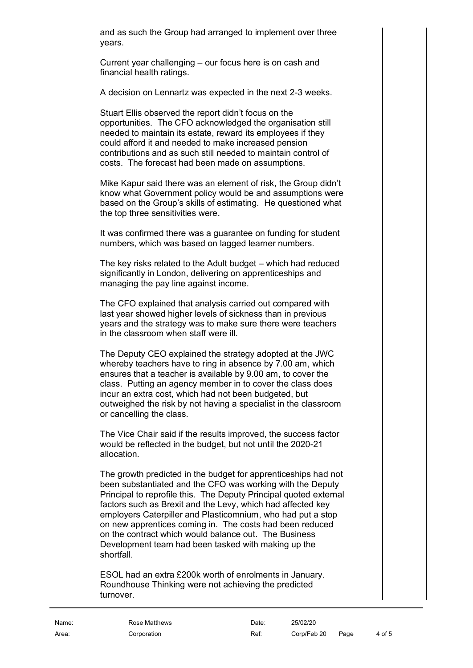and as such the Group had arranged to implement over three years.

Current year challenging – our focus here is on cash and financial health ratings.

A decision on Lennartz was expected in the next 2-3 weeks.

Stuart Ellis observed the report didn't focus on the opportunities. The CFO acknowledged the organisation still needed to maintain its estate, reward its employees if they could afford it and needed to make increased pension contributions and as such still needed to maintain control of costs. The forecast had been made on assumptions.

Mike Kapur said there was an element of risk, the Group didn't know what Government policy would be and assumptions were based on the Group's skills of estimating. He questioned what the top three sensitivities were.

It was confirmed there was a guarantee on funding for student numbers, which was based on lagged learner numbers.

The key risks related to the Adult budget – which had reduced significantly in London, delivering on apprenticeships and managing the pay line against income.

The CFO explained that analysis carried out compared with last year showed higher levels of sickness than in previous years and the strategy was to make sure there were teachers in the classroom when staff were ill.

The Deputy CEO explained the strategy adopted at the JWC whereby teachers have to ring in absence by 7.00 am, which ensures that a teacher is available by 9.00 am, to cover the class. Putting an agency member in to cover the class does incur an extra cost, which had not been budgeted, but outweighed the risk by not having a specialist in the classroom or cancelling the class.

The Vice Chair said if the results improved, the success factor would be reflected in the budget, but not until the 2020-21 allocation.

The growth predicted in the budget for apprenticeships had not been substantiated and the CFO was working with the Deputy Principal to reprofile this. The Deputy Principal quoted external factors such as Brexit and the Levy, which had affected key employers Caterpiller and Plasticomnium, who had put a stop on new apprentices coming in. The costs had been reduced on the contract which would balance out. The Business Development team had been tasked with making up the shortfall.

ESOL had an extra £200k worth of enrolments in January. Roundhouse Thinking were not achieving the predicted turnover.